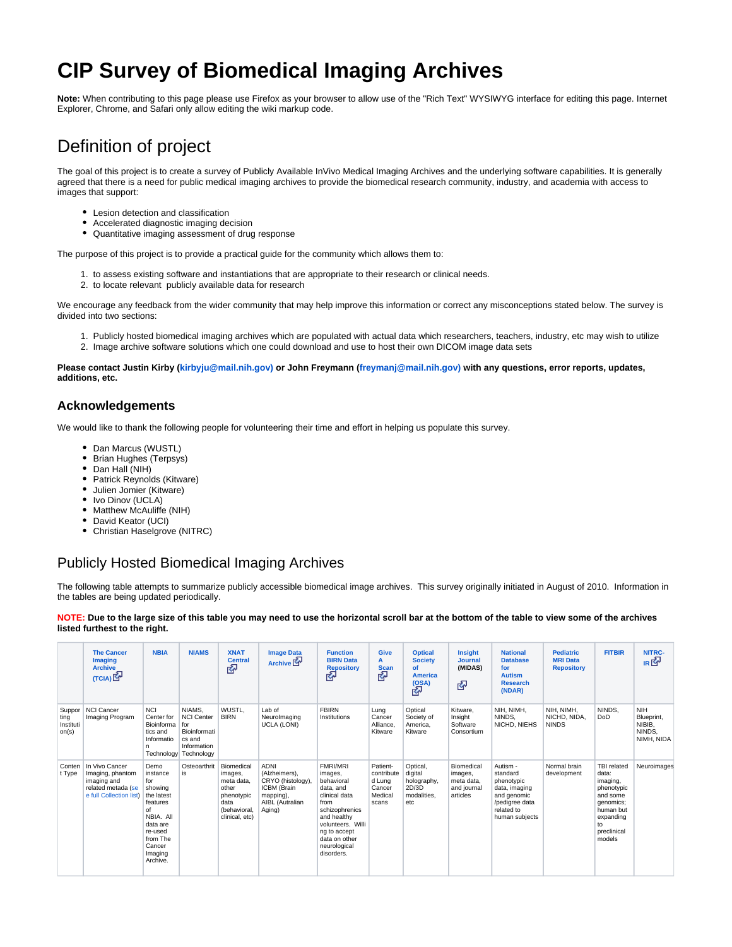# **CIP Survey of Biomedical Imaging Archives**

**Note:** When contributing to this page please use Firefox as your browser to allow use of the "Rich Text" WYSIWYG interface for editing this page. Internet Explorer, Chrome, and Safari only allow editing the wiki markup code.

# Definition of project

The goal of this project is to create a survey of Publicly Available InVivo Medical Imaging Archives and the underlying software capabilities. It is generally agreed that there is a need for public medical imaging archives to provide the biomedical research community, industry, and academia with access to images that support:

- Lesion detection and classification
- Accelerated diagnostic imaging decision
- Quantitative imaging assessment of drug response

The purpose of this project is to provide a practical guide for the community which allows them to:

- 1. to assess existing software and instantiations that are appropriate to their research or clinical needs.
- 2. to locate relevant publicly available data for research

We encourage any feedback from the wider community that may help improve this information or correct any misconceptions stated below. The survey is divided into two sections:

- 1. Publicly hosted biomedical imaging archives which are populated with actual data which researchers, teachers, industry, etc may wish to utilize
- 2. Image archive software solutions which one could download and use to host their own DICOM image data sets

**Please contact Justin Kirby ([kirbyju@mail.nih.gov\)](mailto:kirbyju@mail.nih.gov) or John Freymann ([freymanj@mail.nih.gov\)](mailto:freymanj@mail.nih.gov) with any questions, error reports, updates, additions, etc.** 

#### **Acknowledgements**

We would like to thank the following people for volunteering their time and effort in helping us populate this survey.

- Dan Marcus (WUSTL)
- Brian Hughes (Terpsys)
- Dan Hall (NIH)
- Patrick Reynolds (Kitware)
- Julien Jomier (Kitware)
- Ivo Dinov (UCLA)
- Matthew McAuliffe (NIH)
- David Keator (UCI)
- Christian Haselgrove (NITRC)

## Publicly Hosted Biomedical Imaging Archives

The following table attempts to summarize publicly accessible biomedical image archives. This survey originally initiated in August of 2010. Information in the tables are being updated periodically.

#### **NOTE: Due to the large size of this table you may need to use the horizontal scroll bar at the bottom of the table to view some of the archives listed furthest to the right.**

|                                      | <b>The Cancer</b><br><b>Imaging</b><br><b>Archive</b><br>(TCIA)                                    | <b>NBIA</b>                                                                                                                                         | <b>NIAMS</b>                                                                                  | <b>XNAT</b><br><b>Central</b><br>密                                                                   | <b>Image Data</b><br>Archive <sup>M</sup>                                                                  | <b>Function</b><br><b>BIRN Data</b><br><b>Repository</b><br>密                                                                                                                                       | <b>Give</b><br>A<br><b>Scan</b><br>密                           | <b>Optical</b><br><b>Society</b><br>of<br><b>America</b><br>(OSA)<br>다 | Insight<br><b>Journal</b><br>(MIDAS)<br>密                      | <b>National</b><br><b>Database</b><br>for<br><b>Autism</b><br><b>Research</b><br>(NDAR)                              | <b>Pediatric</b><br><b>MRI Data</b><br><b>Repository</b> | <b>FITBIR</b>                                                                                                                           | NITRC-<br>к₫                                               |
|--------------------------------------|----------------------------------------------------------------------------------------------------|-----------------------------------------------------------------------------------------------------------------------------------------------------|-----------------------------------------------------------------------------------------------|------------------------------------------------------------------------------------------------------|------------------------------------------------------------------------------------------------------------|-----------------------------------------------------------------------------------------------------------------------------------------------------------------------------------------------------|----------------------------------------------------------------|------------------------------------------------------------------------|----------------------------------------------------------------|----------------------------------------------------------------------------------------------------------------------|----------------------------------------------------------|-----------------------------------------------------------------------------------------------------------------------------------------|------------------------------------------------------------|
| Suppor<br>ting<br>Instituti<br>on(s) | <b>NCI Cancer</b><br>Imaging Program                                                               | <b>NCI</b><br>Center for<br>Bioinforma for<br>tics and<br>Informatio<br>n                                                                           | NIAMS.<br><b>NCI Center</b><br>Bioinformati<br>cs and<br>Information<br>Technology Technology | WUSTL,<br><b>BIRN</b>                                                                                | Lab of<br>Neurolmaging<br>UCLA (LONI)                                                                      | <b>FBIRN</b><br>Institutions                                                                                                                                                                        | Lung<br>Cancer<br>Alliance.<br>Kitware                         | Optical<br>Society of<br>America.<br>Kitware                           | Kitware.<br>Insight<br>Software<br>Consortium                  | NIH. NIMH.<br>NINDS.<br>NICHD, NIEHS                                                                                 | NIH, NIMH,<br>NICHD, NIDA.<br><b>NINDS</b>               | NINDS.<br><b>DoD</b>                                                                                                                    | <b>NIH</b><br>Blueprint,<br>NIBIB,<br>NINDS,<br>NIMH, NIDA |
| Conten<br>t Type                     | In Vivo Cancer<br>Imaging, phantom<br>imaging and<br>related metada (se<br>e full Collection list) | Demo<br>instance<br>for<br>showing<br>the latest<br>features<br>of<br>NBIA. All<br>data are<br>re-used<br>from The<br>Cancer<br>Imaging<br>Archive. | Osteoarthrit<br>is                                                                            | Biomedical<br>images,<br>meta data.<br>other<br>phenotypic<br>data<br>(behavioral,<br>clinical, etc) | <b>ADNI</b><br>(Alzheimers).<br>CRYO (histology),<br>ICBM (Brain<br>mapping),<br>AIBL (Autralian<br>Aging) | <b>FMRI/MRI</b><br>images,<br>behavioral<br>data, and<br>clinical data<br>from<br>schizophrenics<br>and healthy<br>volunteers. Willi<br>ng to accept<br>data on other<br>neurological<br>disorders. | Patient-<br>contribute<br>d Lung<br>Cancer<br>Medical<br>scans | Optical,<br>digital<br>holography,<br>2D/3D<br>modalities.<br>etc      | Biomedical<br>images,<br>meta data.<br>and journal<br>articles | Autism -<br>standard<br>phenotypic<br>data, imaging<br>and genomic<br>/pedigree data<br>related to<br>human subjects | Normal brain<br>development                              | <b>TBI</b> related<br>data:<br>imaging,<br>phenotypic<br>and some<br>genomics;<br>human but<br>expanding<br>to<br>preclinical<br>models | Neuroimages                                                |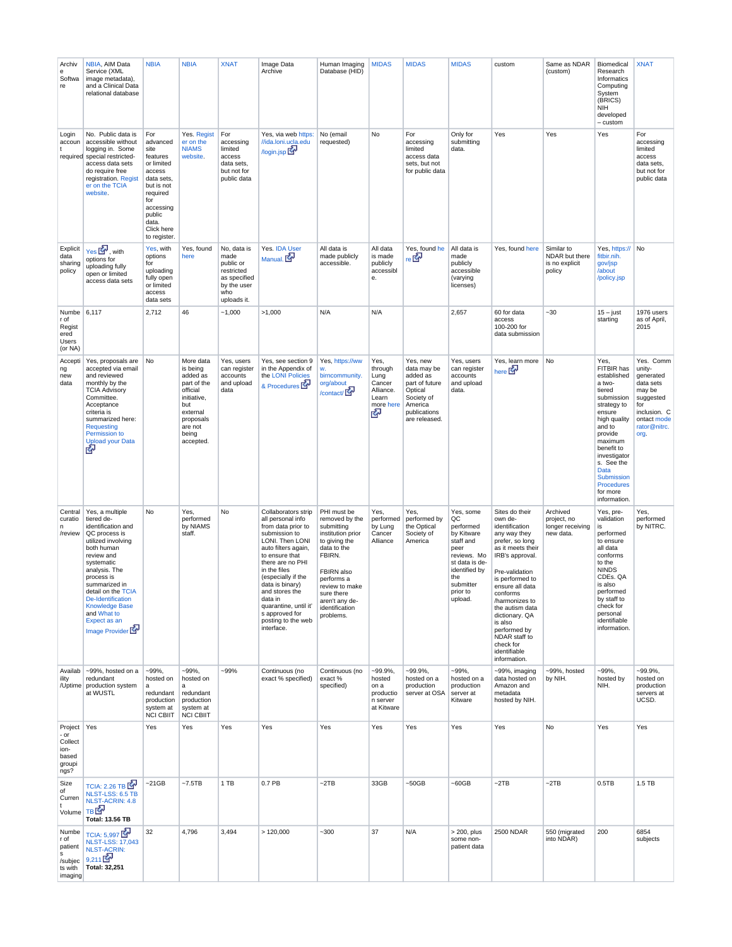| Archiv<br>е<br>Softwa<br>re                                    | NBIA, AIM Data<br>Service (XML<br>image metadata),<br>and a Clinical Data<br>relational database                                                                                                                                                                                                          | <b>NBIA</b>                                                                                                                                                              | <b>NBIA</b>                                                                                                                                  | <b>XNAT</b>                                                                                         | Image Data<br>Archive                                                                                                                                                                                                                                                                                                                | Human Imaging<br>Database (HID)                                                                                                                                                                                                | <b>MIDAS</b>                                                               | <b>MIDAS</b>                                                                                                               | <b>MIDAS</b>                                                                                                                                                 | custom                                                                                                                                                                                                                                                                                                                                     | Same as NDAR<br>(custom)                                 | Biomedical<br>Research<br>Informatics<br>Computing<br>System<br>(BRICS)<br>NIH<br>developed<br>- custom                                                                                                                                                         | <b>XNAT</b>                                                                                                                        |
|----------------------------------------------------------------|-----------------------------------------------------------------------------------------------------------------------------------------------------------------------------------------------------------------------------------------------------------------------------------------------------------|--------------------------------------------------------------------------------------------------------------------------------------------------------------------------|----------------------------------------------------------------------------------------------------------------------------------------------|-----------------------------------------------------------------------------------------------------|--------------------------------------------------------------------------------------------------------------------------------------------------------------------------------------------------------------------------------------------------------------------------------------------------------------------------------------|--------------------------------------------------------------------------------------------------------------------------------------------------------------------------------------------------------------------------------|----------------------------------------------------------------------------|----------------------------------------------------------------------------------------------------------------------------|--------------------------------------------------------------------------------------------------------------------------------------------------------------|--------------------------------------------------------------------------------------------------------------------------------------------------------------------------------------------------------------------------------------------------------------------------------------------------------------------------------------------|----------------------------------------------------------|-----------------------------------------------------------------------------------------------------------------------------------------------------------------------------------------------------------------------------------------------------------------|------------------------------------------------------------------------------------------------------------------------------------|
| Login<br>accoun<br>required                                    | No. Public data is<br>accessible without<br>logging in. Some<br>special restricted-<br>access data sets<br>do require free<br>registration. Regist<br>er on the TCIA<br>website.                                                                                                                          | For<br>advanced<br>site<br>features<br>or limited<br>access<br>data sets,<br>but is not<br>required<br>for<br>accessing<br>public<br>data.<br>Click here<br>to register. | Yes. Regist<br>er on the<br><b>NIAMS</b><br>website.                                                                                         | For<br>accessing<br>limited<br>access<br>data sets,<br>but not for<br>public data                   | Yes, via web https:<br>//ida.loni.ucla.edu<br>/login.jsp                                                                                                                                                                                                                                                                             | No (email<br>requested)                                                                                                                                                                                                        | No                                                                         | For<br>accessing<br>limited<br>access data<br>sets, but not<br>for public data                                             | Only for<br>submitting<br>data.                                                                                                                              | Yes                                                                                                                                                                                                                                                                                                                                        | Yes                                                      | Yes                                                                                                                                                                                                                                                             | For<br>accessing<br>limited<br>access<br>data sets,<br>but not for<br>public data                                                  |
| Explicit<br>data<br>sharing<br>policy                          | Yes <b>K</b> , with<br>options for<br>uploading fully<br>open or limited<br>access data sets                                                                                                                                                                                                              | Yes, with<br>options<br>for<br>uploading<br>fully open<br>or limited<br>access<br>data sets                                                                              | Yes, found<br>here                                                                                                                           | No, data is<br>made<br>public or<br>restricted<br>as specified<br>by the user<br>who<br>uploads it. | Yes. IDA User<br>Manual.                                                                                                                                                                                                                                                                                                             | All data is<br>made publicly<br>accessible.                                                                                                                                                                                    | All data<br>is made<br>publicly<br>accessibl<br>е.                         | Yes, found he<br>re ⊠ <sup>a</sup>                                                                                         | All data is<br>made<br>publicly<br>accessible<br>(varying<br>licenses)                                                                                       | Yes, found here                                                                                                                                                                                                                                                                                                                            | Similar to<br>NDAR but there<br>is no explicit<br>policy | Yes, https:// No<br>fitbir.nih.<br>gov/jsp<br>/about<br>/policy.jsp                                                                                                                                                                                             |                                                                                                                                    |
| Numbe 6,117<br>r of<br>Regist<br>ered<br>Users<br>(or NA)      |                                                                                                                                                                                                                                                                                                           | 2,712                                                                                                                                                                    | 46                                                                                                                                           | $-1,000$                                                                                            | >1,000                                                                                                                                                                                                                                                                                                                               | N/A                                                                                                                                                                                                                            | N/A                                                                        |                                                                                                                            | 2,657                                                                                                                                                        | 60 for data<br>access<br>100-200 for<br>data submission                                                                                                                                                                                                                                                                                    | $-30$                                                    | $15 - just$<br>starting                                                                                                                                                                                                                                         | 1976 users<br>as of April,<br>2015                                                                                                 |
| Accepti<br>ng<br>new<br>data                                   | Yes, proposals are<br>accepted via email<br>and reviewed<br>monthly by the<br><b>TCIA Advisory</b><br>Committee.<br>Acceptance<br>criteria is<br>summarized here:<br>Requesting<br>Permission to<br><b>Upload your Data</b><br>酬                                                                          | No                                                                                                                                                                       | More data<br>is being<br>added as<br>part of the<br>official<br>initiative,<br>but<br>external<br>proposals<br>are not<br>being<br>accepted. | Yes, users<br>can register<br>accounts<br>and upload<br>data                                        | Yes, see section 9<br>in the Appendix of<br>the LONI Policies<br>& Procedures                                                                                                                                                                                                                                                        | Yes, https://ww<br>w.<br>birncommunity.<br>org/about<br>/contact/                                                                                                                                                              | Yes,<br>through<br>Lung<br>Cancer<br>Alliance.<br>Learn<br>more here<br>s. | Yes, new<br>data may be<br>added as<br>part of future<br>Optical<br>Society of<br>America<br>publications<br>are released. | Yes, users<br>can register<br>accounts<br>and upload<br>data.                                                                                                | Yes, learn more No<br>here <b>Ex</b>                                                                                                                                                                                                                                                                                                       |                                                          | Yes,<br>FITBIR has<br>established<br>a two-<br>tiered<br>submission<br>strategy to<br>ensure<br>high quality<br>and to<br>provide<br>maximum<br>benefit to<br>investigator<br>s. See the<br>Data<br>Submission<br><b>Procedures</b><br>for more<br>information. | Yes. Comm<br>unity-<br>generated<br>data sets<br>may be<br>suggested<br>for<br>inclusion. C<br>ontact mode<br>rator@nitrc.<br>org. |
| Central<br>curatio<br>n<br>/review                             | Yes, a multiple<br>tiered de-<br>identification and<br>QC process is<br>utilized involving<br>both human<br>review and<br>systematic<br>analysis. The<br>process is<br>summarized in<br>detail on the TCIA<br>De-Identification<br><b>Knowledge Base</b><br>and What to<br>Expect as an<br>Image Provider | No                                                                                                                                                                       | Yes,<br>performed<br>by NIAMS<br>staff.                                                                                                      | No                                                                                                  | Collaborators strip<br>all personal info<br>from data prior to<br>submission to<br>LONI. Then LONI<br>auto filters again,<br>to ensure that<br>there are no PHI<br>in the files<br>(especially if the<br>data is binary)<br>and stores the<br>data in<br>quarantine, until it'<br>s approved for<br>posting to the web<br>interface. | PHI must be<br>removed by the<br>submitting<br>institution prior<br>to giving the<br>data to the<br>FBIRN.<br><b>FBIRN</b> also<br>performs a<br>review to make<br>sure there<br>aren't any de-<br>identification<br>problems. | Yes,<br>performed<br>by Lung<br>Cancer<br>Alliance                         | Yes,<br>performed by<br>the Optical<br>Society of<br>America                                                               | Yes, some<br>QC<br>performed<br>by Kitware<br>staff and<br>peer<br>reviews. Mo<br>st data is de-<br>identified by<br>the<br>submitter<br>prior to<br>upload. | Sites do their<br>own de-<br>identification<br>any way they<br>prefer, so long<br>as it meets their<br>IRB's approval.<br>Pre-validation<br>is performed to<br>ensure all data<br>conforms<br>/harmonizes to<br>the autism data<br>dictionary. QA<br>is also<br>performed by<br>NDAR staff to<br>check for<br>identifiable<br>information. | Archived<br>project, no<br>longer receiving<br>new data. | Yes, pre-<br>validation<br>is<br>performed<br>to ensure<br>all data<br>conforms<br>to the<br><b>NINDS</b><br>CDEs. QA<br>is also<br>performed<br>by staff to<br>check for<br>personal<br>identifiable<br>information.                                           | Yes,<br>performed<br>by NITRC.                                                                                                     |
| Availab<br>ility                                               | ~99%, hosted on a<br>redundant<br>/Uptime production system<br>at WUSTL                                                                                                                                                                                                                                   | $-99%$<br>hosted on<br>a<br>redundant<br>production<br>system at<br><b>NCI CBIIT</b>                                                                                     | $-99%$<br>hosted on<br>a<br>redundant<br>production<br>system at<br><b>NCI CBIIT</b>                                                         | $-99%$                                                                                              | Continuous (no<br>exact % specified)                                                                                                                                                                                                                                                                                                 | Continuous (no<br>exact%<br>specified)                                                                                                                                                                                         | $-99.9\%$<br>hosted<br>on a<br>productio<br>n server<br>at Kitware         | $-99.9\%$<br>hosted on a<br>production<br>server at OSA                                                                    | $-99%$<br>hosted on a<br>production<br>server at<br>Kitware                                                                                                  | ~99%, imaging<br>data hosted on<br>Amazon and<br>metadata<br>hosted by NIH.                                                                                                                                                                                                                                                                | ~99%, hosted<br>by NIH.                                  | $-99%$<br>hosted by<br>NIH.                                                                                                                                                                                                                                     | $-99.9\%$<br>hosted on<br>production<br>servers at<br>UCSD.                                                                        |
| Project<br>- or<br>Collect<br>ion-<br>based<br>groupi<br>ngs?  | Yes                                                                                                                                                                                                                                                                                                       | Yes                                                                                                                                                                      | Yes                                                                                                                                          | Yes                                                                                                 | Yes                                                                                                                                                                                                                                                                                                                                  | Yes                                                                                                                                                                                                                            | Yes                                                                        | Yes                                                                                                                        | Yes                                                                                                                                                          | Yes                                                                                                                                                                                                                                                                                                                                        | No                                                       | Yes                                                                                                                                                                                                                                                             | Yes                                                                                                                                |
| Size<br>of<br>Curren<br>t<br>Volume                            | TCIA: 2.26 TB<br>NLST-LSS: 6.5 TB<br><b>NLST-ACRIN: 4.8</b><br>TB <b>EP</b><br><b>Total: 13.56 TB</b>                                                                                                                                                                                                     | $-21GB$                                                                                                                                                                  | $-7.5TB$                                                                                                                                     | 1 TB                                                                                                | 0.7 PB                                                                                                                                                                                                                                                                                                                               | $-2TB$                                                                                                                                                                                                                         | 33GB                                                                       | $-50GB$                                                                                                                    | $-60GB$                                                                                                                                                      | $-2TB$                                                                                                                                                                                                                                                                                                                                     | $-2TB$                                                   | 0.5TB                                                                                                                                                                                                                                                           | 1.5 TB                                                                                                                             |
| Numbe<br>r of<br>patient<br>s<br>/subjec<br>ts with<br>imaging | TCIA: 5,997<br><b>NLST-LSS: 17,043</b><br><b>NLST-ACRIN:</b><br>9,211<br>Total: 32,251                                                                                                                                                                                                                    | 32                                                                                                                                                                       | 4,796                                                                                                                                        | 3,494                                                                                               | >120,000                                                                                                                                                                                                                                                                                                                             | $-300$                                                                                                                                                                                                                         | 37                                                                         | N/A                                                                                                                        | $>$ 200, plus<br>some non-<br>patient data                                                                                                                   | 2500 NDAR                                                                                                                                                                                                                                                                                                                                  | 550 (migrated<br>into NDAR)                              | 200                                                                                                                                                                                                                                                             | 6854<br>subjects                                                                                                                   |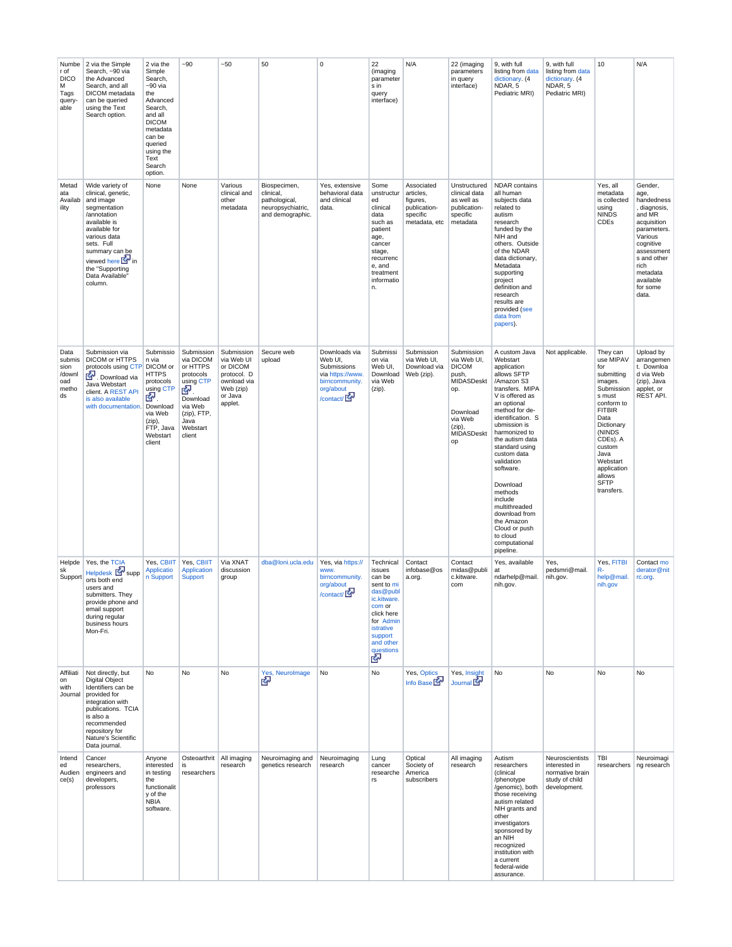| Numbe<br>r of<br><b>DICO</b><br>М<br>Tags<br>query-<br>able | 2 via the Simple<br>Search, ~90 via<br>the Advanced<br>Search, and all<br>DICOM metadata<br>can be queried<br>using the Text<br>Search option.                                                                                                   | 2 via the<br>Simple<br>Search,<br>~90 via<br>the<br>Advanced<br>Search,<br>and all<br><b>DICOM</b><br>metadata<br>can be<br>queried<br>using the<br>Text<br>Search<br>option. | $-90$                                                                                                                                  | ~50                                                                                                   | 50                                                                                  | 0                                                                                                       | 22<br>(imaging<br>parameter<br>s in<br>query<br>interface)                                                                                                           | N/A                                                                              | 22 (imaging<br>parameters<br>in query<br>interface)                                                                             | 9, with full<br>listing from data<br>dictionary. (4<br>NDAR, 5<br>Pediatric MRI)                                                                                                                                                                                                                                                                                                                                               | 9, with full<br>listing from data<br>dictionary. (4<br>NDAR, 5<br>Pediatric MRI)      | 10                                                                                                                                                                                                                                           | N/A                                                                                                                                                                                              |
|-------------------------------------------------------------|--------------------------------------------------------------------------------------------------------------------------------------------------------------------------------------------------------------------------------------------------|-------------------------------------------------------------------------------------------------------------------------------------------------------------------------------|----------------------------------------------------------------------------------------------------------------------------------------|-------------------------------------------------------------------------------------------------------|-------------------------------------------------------------------------------------|---------------------------------------------------------------------------------------------------------|----------------------------------------------------------------------------------------------------------------------------------------------------------------------|----------------------------------------------------------------------------------|---------------------------------------------------------------------------------------------------------------------------------|--------------------------------------------------------------------------------------------------------------------------------------------------------------------------------------------------------------------------------------------------------------------------------------------------------------------------------------------------------------------------------------------------------------------------------|---------------------------------------------------------------------------------------|----------------------------------------------------------------------------------------------------------------------------------------------------------------------------------------------------------------------------------------------|--------------------------------------------------------------------------------------------------------------------------------------------------------------------------------------------------|
| Metad<br>ata<br>Availab<br>ility                            | Wide variety of<br>clinical, genetic,<br>and image<br>segmentation<br>/annotation<br>available is<br>available for<br>various data<br>sets. Full<br>summary can be<br>viewed here <b>Ext</b> in<br>the "Supporting<br>Data Available"<br>column. | None                                                                                                                                                                          | None                                                                                                                                   | Various<br>clinical and<br>other<br>metadata                                                          | Biospecimen,<br>clinical,<br>pathological,<br>neuropsychiatric,<br>and demographic. | Yes, extensive<br>behavioral data<br>and clinical<br>data.                                              | Some<br>unstructur<br>ed<br>clinical<br>data<br>such as<br>patient<br>age,<br>cancer<br>stage,<br>recurrenc<br>e, and<br>treatment<br>informatio<br>n.               | Associated<br>articles,<br>figures,<br>publication-<br>specific<br>metadata, etc | Unstructured<br>clinical data<br>as well as<br>publication-<br>specific<br>metadata                                             | <b>NDAR</b> contains<br>all human<br>subjects data<br>related to<br>autism<br>research<br>funded by the<br>NIH and<br>others. Outside<br>of the NDAR<br>data dictionary,<br>Metadata<br>supporting<br>project<br>definition and<br>research<br>results are<br>provided (see<br>data from<br>papers).                                                                                                                           |                                                                                       | Yes, all<br>metadata<br>is collected<br>using<br><b>NINDS</b><br>CDEs                                                                                                                                                                        | Gender,<br>age,<br>handedness<br>, diagnosis,<br>and MR<br>acquisition<br>parameters.<br>Various<br>cognitive<br>assessment<br>s and other<br>rich<br>metadata<br>available<br>for some<br>data. |
| Data<br>submis<br>sion<br>/downl<br>oad<br>metho<br>ds      | Submission via<br>DICOM or HTTPS<br>protocols using CTP<br>Download via<br>Java Webstart<br>client. A REST API<br>is also available<br>with documentation.                                                                                       | Submissio<br>n via<br>DICOM or<br><b>HTTPS</b><br>protocols<br>using CTP<br>☞.<br>Download<br>via Web<br>(zip),<br>FTP, Java<br>Webstart<br>client                            | Submission<br>via DICOM<br>or HTTPS<br>protocols<br>using CTP<br>密<br>Download<br>via Web<br>(zip), FTP,<br>Java<br>Webstart<br>client | Submission<br>via Web UI<br>or DICOM<br>protocol. D<br>ownload via<br>Web (zip)<br>or Java<br>applet. | Secure web<br>upload                                                                | Downloads via<br>Web UI,<br>Submissions<br>via https://www.<br>birncommunity.<br>org/about<br>/contact/ | Submissi<br>on via<br>Web UI,<br>Download<br>via Web<br>(zip).                                                                                                       | Submission<br>via Web UI,<br>Download via<br>Web (zip).                          | Submission<br>via Web UI,<br><b>DICOM</b><br>push,<br>MIDASDeskt<br>op.<br>Download<br>via Web<br>$(zip)$ ,<br>MIDASDeskt<br>op | A custom Java<br>Webstart<br>application<br>allows SFTP<br>/Amazon S3<br>transfers. MIPA<br>V is offered as<br>an optional<br>method for de-<br>identification. S<br>ubmission is<br>harmonized to<br>the autism data<br>standard using<br>custom data<br>validation<br>software.<br>Download<br>methods<br>include<br>multithreaded<br>download from<br>the Amazon<br>Cloud or push<br>to cloud<br>computational<br>pipeline. | Not applicable.                                                                       | They can<br>use MIPAV<br>for<br>submitting<br>images.<br>Submission<br>s must<br>conform to<br><b>FITBIR</b><br>Data<br>Dictionary<br>(NINDS<br>CDEs). A<br>custom<br>Java<br>Webstart<br>application<br>allows<br><b>SFTP</b><br>transfers. | Upload by<br>arrangemen<br>t. Downloa<br>d via Web<br>(zip), Java<br>applet, or<br>REST API.                                                                                                     |
| Helpde<br>sk<br>Support                                     | Yes, the TCIA<br>Helpdesk <b>K</b> supp<br>orts both end<br>users and<br>submitters. They<br>provide phone and<br>email support<br>during regular<br>business hours<br>Mon-Fri.                                                                  | Yes, CBIIT<br>Applicatio<br>n Support                                                                                                                                         | Yes, CBIIT<br>Application<br><b>Support</b>                                                                                            | Via XNAT<br>discussion<br>group                                                                       | dba@loni.ucla.edu                                                                   | Yes, via https://<br>www.<br>birncommunity.<br>org/about<br>$/$ contact/ $\overline{\mathbb{R}^n}$      | Technical<br>issues<br>can be<br>sent to mi<br>das@publ<br>ic.kitware.<br>com or<br>click here<br>for Admin<br>istrative<br>support<br>and other<br>questions<br>Exp | Contact<br>infobase@os<br>a.org.                                                 | Contact<br>midas@publi<br>c.kitware.<br>com                                                                                     | Yes, available<br>at<br>ndarhelp@mail.<br>nih.gov.                                                                                                                                                                                                                                                                                                                                                                             | Yes,<br>pedsmri@mail.<br>nih.gov.                                                     | Yes, FITBI<br>R-<br>help@mail.<br>nih.gov                                                                                                                                                                                                    | Contact mo<br>derator@nit<br>rc.org.                                                                                                                                                             |
| Affiliati<br>on<br>with<br>Journal                          | Not directly, but<br><b>Digital Object</b><br>Identifiers can be<br>provided for<br>integration with<br>publications. TCIA<br>is also a<br>recommended<br>repository for<br>Nature's Scientific<br>Data journal.                                 | No                                                                                                                                                                            | No                                                                                                                                     | No                                                                                                    | Yes, NeuroImage<br>密                                                                | No                                                                                                      | No                                                                                                                                                                   | Yes, Optics<br>Info Base                                                         | Yes, Insight<br>Journal <b>K</b>                                                                                                | No                                                                                                                                                                                                                                                                                                                                                                                                                             | No                                                                                    | No                                                                                                                                                                                                                                           | <b>No</b>                                                                                                                                                                                        |
| Intend<br>ed<br>Audien<br>ce(s)                             | Cancer<br>researchers,<br>engineers and<br>developers,<br>professors                                                                                                                                                                             | Anyone<br>interested<br>in testing<br>the<br>functionalit<br>y of the<br><b>NBIA</b><br>software.                                                                             | Osteoarthrit   All imaging<br>is<br>researchers                                                                                        | research                                                                                              | Neuroimaging and<br>genetics research                                               | Neuroimaging<br>research                                                                                | Lung<br>cancer<br>researche<br>rs                                                                                                                                    | Optical<br>Society of<br>America<br>subscribers                                  | All imaging<br>research                                                                                                         | Autism<br>researchers<br>(clinical<br>/phenotype<br>/genomic), both<br>those receiving<br>autism related<br>NIH grants and<br>other<br>investigators<br>sponsored by<br>an NIH<br>recognized<br>institution with<br>a current<br>federal-wide<br>assurance.                                                                                                                                                                    | Neuroscientists<br>interested in<br>normative brain<br>study of child<br>development. | TBI<br>researchers   ng research                                                                                                                                                                                                             | Neuroimagi                                                                                                                                                                                       |